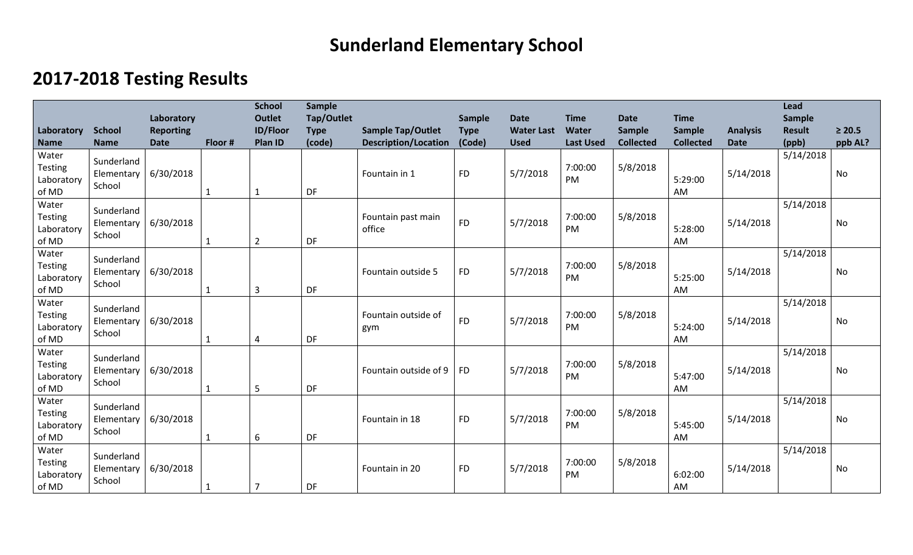## **Sunderland Elementary School**

## **2017-2018 Testing Results**

|                                                |                                    | Laboratory               |         | <b>School</b><br><b>Outlet</b> | <b>Sample</b><br>Tap/Outlet |                                                         | Sample                | <b>Date</b>                      | <b>Time</b>               | <b>Date</b>                | <b>Time</b>                       |                                | Lead<br>Sample         |                        |
|------------------------------------------------|------------------------------------|--------------------------|---------|--------------------------------|-----------------------------|---------------------------------------------------------|-----------------------|----------------------------------|---------------------------|----------------------------|-----------------------------------|--------------------------------|------------------------|------------------------|
| Laboratory<br><b>Name</b>                      | <b>School</b><br><b>Name</b>       | <b>Reporting</b><br>Date | Floor # | <b>ID/Floor</b><br>Plan ID     | <b>Type</b><br>(code)       | <b>Sample Tap/Outlet</b><br><b>Description/Location</b> | <b>Type</b><br>(Code) | <b>Water Last</b><br><b>Used</b> | Water<br><b>Last Used</b> | Sample<br><b>Collected</b> | <b>Sample</b><br><b>Collected</b> | <b>Analysis</b><br><b>Date</b> | <b>Result</b><br>(ppb) | $\geq 20.5$<br>ppb AL? |
| Water<br><b>Testing</b><br>Laboratory<br>of MD | Sunderland<br>Elementary<br>School | 6/30/2018                |         | $\mathbf{1}$                   | <b>DF</b>                   | Fountain in 1                                           | <b>FD</b>             | 5/7/2018                         | 7:00:00<br><b>PM</b>      | 5/8/2018                   | 5:29:00<br>AM                     | 5/14/2018                      | 5/14/2018              | No                     |
| Water<br><b>Testing</b><br>Laboratory<br>of MD | Sunderland<br>Elementary<br>School | 6/30/2018                |         | $\overline{2}$                 | DF                          | Fountain past main<br>office                            | <b>FD</b>             | 5/7/2018                         | 7:00:00<br>PM             | 5/8/2018                   | 5:28:00<br>AM                     | 5/14/2018                      | 5/14/2018              | No                     |
| Water<br><b>Testing</b><br>Laboratory<br>of MD | Sunderland<br>Elementary<br>School | 6/30/2018                |         | 3                              | DF                          | Fountain outside 5                                      | <b>FD</b>             | 5/7/2018                         | 7:00:00<br><b>PM</b>      | 5/8/2018                   | 5:25:00<br>AM                     | 5/14/2018                      | 5/14/2018              | No                     |
| Water<br><b>Testing</b><br>Laboratory<br>of MD | Sunderland<br>Elementary<br>School | 6/30/2018                |         | 4                              | DF                          | Fountain outside of<br>gym                              | <b>FD</b>             | 5/7/2018                         | 7:00:00<br>PM             | 5/8/2018                   | 5:24:00<br>AM                     | 5/14/2018                      | 5/14/2018              | No                     |
| Water<br><b>Testing</b><br>Laboratory<br>of MD | Sunderland<br>Elementary<br>School | 6/30/2018                |         | 5                              | DF                          | Fountain outside of 9                                   | <b>FD</b>             | 5/7/2018                         | 7:00:00<br>PM             | 5/8/2018                   | 5:47:00<br>AM                     | 5/14/2018                      | 5/14/2018              | No                     |
| Water<br><b>Testing</b><br>Laboratory<br>of MD | Sunderland<br>Elementary<br>School | 6/30/2018                | 1       | 6                              | DF                          | Fountain in 18                                          | <b>FD</b>             | 5/7/2018                         | 7:00:00<br><b>PM</b>      | 5/8/2018                   | 5:45:00<br>AM                     | 5/14/2018                      | 5/14/2018              | <b>No</b>              |
| Water<br><b>Testing</b><br>Laboratory<br>of MD | Sunderland<br>Elementary<br>School | 6/30/2018                |         |                                | DF                          | Fountain in 20                                          | <b>FD</b>             | 5/7/2018                         | 7:00:00<br>PM             | 5/8/2018                   | 6:02:00<br>AM                     | 5/14/2018                      | 5/14/2018              | <b>No</b>              |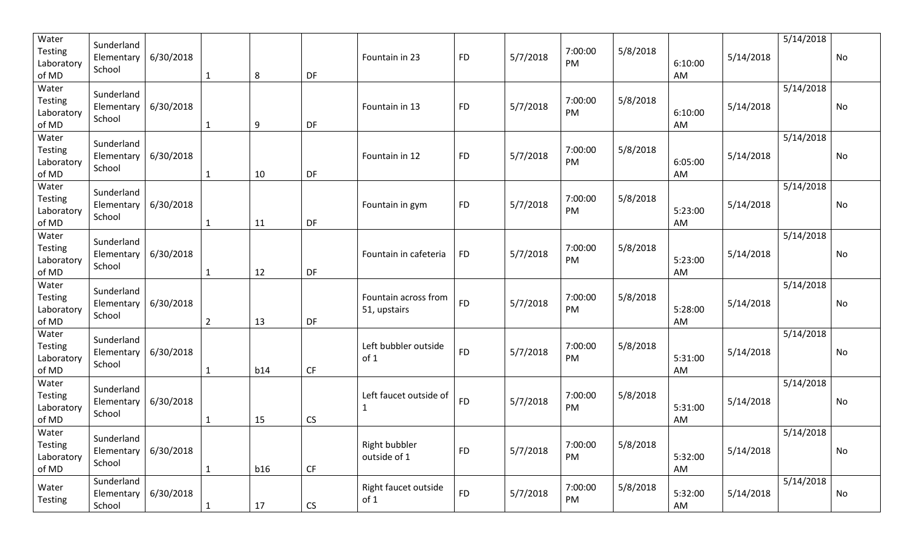| Water<br><b>Testing</b><br>Laboratory<br>of MD | Sunderland<br>Elementary<br>School | 6/30/2018 | 1              | 8   | DF         | Fountain in 23                          | <b>FD</b> | 5/7/2018 | 7:00:00<br>PM | 5/8/2018 | 6:10:00<br>AM | 5/14/2018 | 5/14/2018 | <b>No</b> |
|------------------------------------------------|------------------------------------|-----------|----------------|-----|------------|-----------------------------------------|-----------|----------|---------------|----------|---------------|-----------|-----------|-----------|
| Water<br>Testing<br>Laboratory<br>of MD        | Sunderland<br>Elementary<br>School | 6/30/2018 | $\mathbf{1}$   | 9   | DF         | Fountain in 13                          | <b>FD</b> | 5/7/2018 | 7:00:00<br>PM | 5/8/2018 | 6:10:00<br>AM | 5/14/2018 | 5/14/2018 | No        |
| Water<br>Testing<br>Laboratory<br>of MD        | Sunderland<br>Elementary<br>School | 6/30/2018 | 1              | 10  | DF         | Fountain in 12                          | <b>FD</b> | 5/7/2018 | 7:00:00<br>PM | 5/8/2018 | 6:05:00<br>AM | 5/14/2018 | 5/14/2018 | No        |
| Water<br>Testing<br>Laboratory<br>of MD        | Sunderland<br>Elementary<br>School | 6/30/2018 | $\mathbf{1}$   | 11  | DF         | Fountain in gym                         | <b>FD</b> | 5/7/2018 | 7:00:00<br>PM | 5/8/2018 | 5:23:00<br>AM | 5/14/2018 | 5/14/2018 | No        |
| Water<br>Testing<br>Laboratory<br>of MD        | Sunderland<br>Elementary<br>School | 6/30/2018 | 1              | 12  | DF         | Fountain in cafeteria                   | <b>FD</b> | 5/7/2018 | 7:00:00<br>PM | 5/8/2018 | 5:23:00<br>AM | 5/14/2018 | 5/14/2018 | <b>No</b> |
| Water<br>Testing<br>Laboratory<br>of MD        | Sunderland<br>Elementary<br>School | 6/30/2018 | $\overline{2}$ | 13  | DF         | Fountain across from<br>51, upstairs    | <b>FD</b> | 5/7/2018 | 7:00:00<br>PM | 5/8/2018 | 5:28:00<br>AM | 5/14/2018 | 5/14/2018 | No        |
| Water<br>Testing<br>Laboratory<br>of MD        | Sunderland<br>Elementary<br>School | 6/30/2018 | 1              | b14 | CF         | Left bubbler outside<br>of <sub>1</sub> | <b>FD</b> | 5/7/2018 | 7:00:00<br>PM | 5/8/2018 | 5:31:00<br>AM | 5/14/2018 | 5/14/2018 | No        |
| Water<br>Testing<br>Laboratory<br>of MD        | Sunderland<br>Elementary<br>School | 6/30/2018 | 1              | 15  | <b>CS</b>  | Left faucet outside of<br>1             | <b>FD</b> | 5/7/2018 | 7:00:00<br>PM | 5/8/2018 | 5:31:00<br>AM | 5/14/2018 | 5/14/2018 | No        |
| Water<br>Testing<br>Laboratory<br>of MD        | Sunderland<br>Elementary<br>School | 6/30/2018 | $\mathbf{1}$   | b16 | CF         | Right bubbler<br>outside of 1           | <b>FD</b> | 5/7/2018 | 7:00:00<br>PM | 5/8/2018 | 5:32:00<br>AM | 5/14/2018 | 5/14/2018 | No        |
| Water<br>Testing                               | Sunderland<br>Elementary<br>School | 6/30/2018 | $\mathbf{1}$   | 17  | ${\sf CS}$ | Right faucet outside<br>of 1            | <b>FD</b> | 5/7/2018 | 7:00:00<br>PM | 5/8/2018 | 5:32:00<br>AM | 5/14/2018 | 5/14/2018 | No        |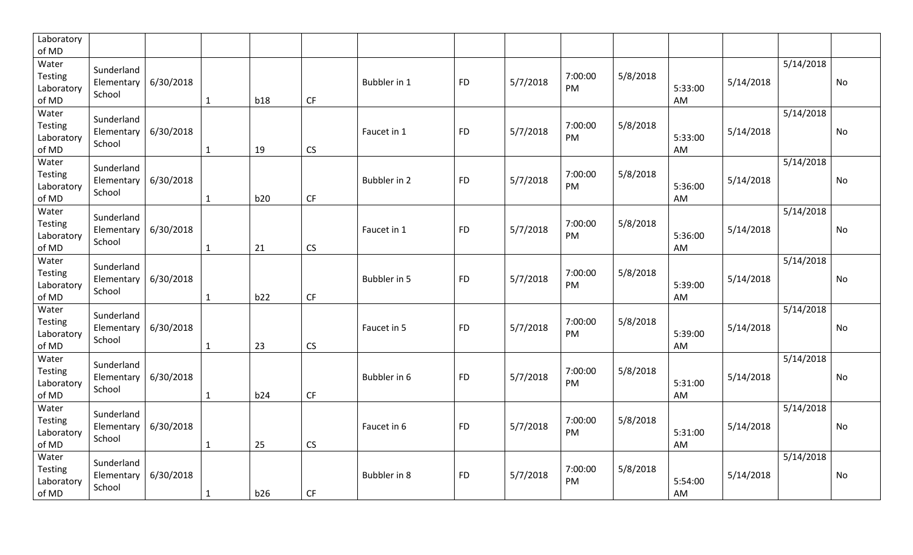| Laboratory<br>of MD                     |                                    |           |              |     |           |              |           |          |               |          |               |           |           |           |
|-----------------------------------------|------------------------------------|-----------|--------------|-----|-----------|--------------|-----------|----------|---------------|----------|---------------|-----------|-----------|-----------|
| Water<br>Testing<br>Laboratory<br>of MD | Sunderland<br>Elementary<br>School | 6/30/2018 | $\mathbf{1}$ | b18 | <b>CF</b> | Bubbler in 1 | <b>FD</b> | 5/7/2018 | 7:00:00<br>PM | 5/8/2018 | 5:33:00<br>AM | 5/14/2018 | 5/14/2018 | No        |
| Water<br>Testing<br>Laboratory<br>of MD | Sunderland<br>Elementary<br>School | 6/30/2018 | $\mathbf{1}$ | 19  | CS        | Faucet in 1  | <b>FD</b> | 5/7/2018 | 7:00:00<br>PM | 5/8/2018 | 5:33:00<br>AM | 5/14/2018 | 5/14/2018 | <b>No</b> |
| Water<br>Testing<br>Laboratory<br>of MD | Sunderland<br>Elementary<br>School | 6/30/2018 | $\mathbf{1}$ | b20 | CF        | Bubbler in 2 | <b>FD</b> | 5/7/2018 | 7:00:00<br>PM | 5/8/2018 | 5:36:00<br>AM | 5/14/2018 | 5/14/2018 | <b>No</b> |
| Water<br>Testing<br>Laboratory<br>of MD | Sunderland<br>Elementary<br>School | 6/30/2018 | $\mathbf{1}$ | 21  | <b>CS</b> | Faucet in 1  | <b>FD</b> | 5/7/2018 | 7:00:00<br>PM | 5/8/2018 | 5:36:00<br>AM | 5/14/2018 | 5/14/2018 | No        |
| Water<br>Testing<br>Laboratory<br>of MD | Sunderland<br>Elementary<br>School | 6/30/2018 | $\mathbf{1}$ | b22 | CF        | Bubbler in 5 | <b>FD</b> | 5/7/2018 | 7:00:00<br>PM | 5/8/2018 | 5:39:00<br>AM | 5/14/2018 | 5/14/2018 | <b>No</b> |
| Water<br>Testing<br>Laboratory<br>of MD | Sunderland<br>Elementary<br>School | 6/30/2018 | $\mathbf{1}$ | 23  | CS        | Faucet in 5  | <b>FD</b> | 5/7/2018 | 7:00:00<br>PM | 5/8/2018 | 5:39:00<br>AM | 5/14/2018 | 5/14/2018 | No        |
| Water<br>Testing<br>Laboratory<br>of MD | Sunderland<br>Elementary<br>School | 6/30/2018 | $\mathbf{1}$ | b24 | CF        | Bubbler in 6 | <b>FD</b> | 5/7/2018 | 7:00:00<br>PM | 5/8/2018 | 5:31:00<br>AM | 5/14/2018 | 5/14/2018 | No        |
| Water<br>Testing<br>Laboratory<br>of MD | Sunderland<br>Elementary<br>School | 6/30/2018 | $\mathbf{1}$ | 25  | <b>CS</b> | Faucet in 6  | <b>FD</b> | 5/7/2018 | 7:00:00<br>PM | 5/8/2018 | 5:31:00<br>AM | 5/14/2018 | 5/14/2018 | <b>No</b> |
| Water<br>Testing<br>Laboratory<br>of MD | Sunderland<br>Elementary<br>School | 6/30/2018 | $\mathbf{1}$ | b26 | CF        | Bubbler in 8 | <b>FD</b> | 5/7/2018 | 7:00:00<br>PM | 5/8/2018 | 5:54:00<br>AM | 5/14/2018 | 5/14/2018 | <b>No</b> |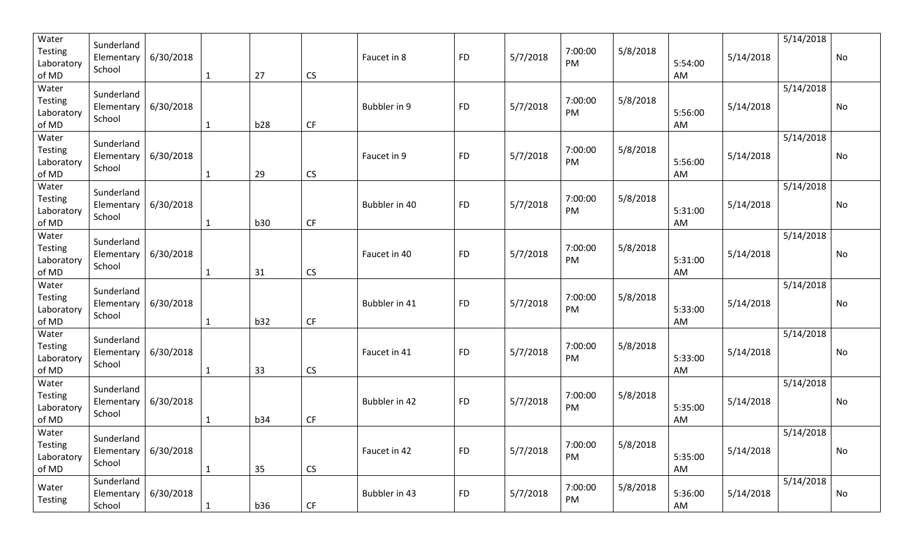| Water<br><b>Testing</b><br>Laboratory<br>of MD | Sunderland<br>Elementary<br>School | 6/30/2018 | $\mathbf{1}$ | 27         | CS                     | Faucet in 8   | <b>FD</b> | 5/7/2018 | 7:00:00<br>PM | 5/8/2018 | 5:54:00<br>AM | 5/14/2018 | 5/14/2018 | <b>No</b> |
|------------------------------------------------|------------------------------------|-----------|--------------|------------|------------------------|---------------|-----------|----------|---------------|----------|---------------|-----------|-----------|-----------|
| Water<br><b>Testing</b><br>Laboratory<br>of MD | Sunderland<br>Elementary<br>School | 6/30/2018 | $\mathbf{1}$ | b28        | CF                     | Bubbler in 9  | <b>FD</b> | 5/7/2018 | 7:00:00<br>PM | 5/8/2018 | 5:56:00<br>AM | 5/14/2018 | 5/14/2018 | No        |
| Water<br><b>Testing</b><br>Laboratory<br>of MD | Sunderland<br>Elementary<br>School | 6/30/2018 | $\mathbf{1}$ | 29         | CS                     | Faucet in 9   | <b>FD</b> | 5/7/2018 | 7:00:00<br>PM | 5/8/2018 | 5:56:00<br>AM | 5/14/2018 | 5/14/2018 | <b>No</b> |
| Water<br><b>Testing</b><br>Laboratory<br>of MD | Sunderland<br>Elementary<br>School | 6/30/2018 | $\mathbf{1}$ | <b>b30</b> | CF                     | Bubbler in 40 | <b>FD</b> | 5/7/2018 | 7:00:00<br>PM | 5/8/2018 | 5:31:00<br>AM | 5/14/2018 | 5/14/2018 | No        |
| Water<br><b>Testing</b><br>Laboratory<br>of MD | Sunderland<br>Elementary<br>School | 6/30/2018 | 1            | 31         | CS                     | Faucet in 40  | <b>FD</b> | 5/7/2018 | 7:00:00<br>PM | 5/8/2018 | 5:31:00<br>AM | 5/14/2018 | 5/14/2018 | <b>No</b> |
| Water<br><b>Testing</b><br>Laboratory<br>of MD | Sunderland<br>Elementary<br>School | 6/30/2018 | 1            | b32        | CF                     | Bubbler in 41 | <b>FD</b> | 5/7/2018 | 7:00:00<br>PM | 5/8/2018 | 5:33:00<br>AM | 5/14/2018 | 5/14/2018 | No        |
| Water<br><b>Testing</b><br>Laboratory<br>of MD | Sunderland<br>Elementary<br>School | 6/30/2018 | 1            | 33         | CS                     | Faucet in 41  | <b>FD</b> | 5/7/2018 | 7:00:00<br>PM | 5/8/2018 | 5:33:00<br>AM | 5/14/2018 | 5/14/2018 | No        |
| Water<br><b>Testing</b><br>Laboratory<br>of MD | Sunderland<br>Elementary<br>School | 6/30/2018 | 1            | b34        | CF                     | Bubbler in 42 | <b>FD</b> | 5/7/2018 | 7:00:00<br>PM | 5/8/2018 | 5:35:00<br>AM | 5/14/2018 | 5/14/2018 | No        |
| Water<br>Testing<br>Laboratory<br>of MD        | Sunderland<br>Elementary<br>School | 6/30/2018 | $\mathbf{1}$ | 35         | CS                     | Faucet in 42  | <b>FD</b> | 5/7/2018 | 7:00:00<br>PM | 5/8/2018 | 5:35:00<br>AM | 5/14/2018 | 5/14/2018 | No        |
| Water<br><b>Testing</b>                        | Sunderland<br>Elementary<br>School | 6/30/2018 | $\mathbf{1}$ | <b>b36</b> | $\mathsf{C}\mathsf{F}$ | Bubbler in 43 | <b>FD</b> | 5/7/2018 | 7:00:00<br>PM | 5/8/2018 | 5:36:00<br>AM | 5/14/2018 | 5/14/2018 | No        |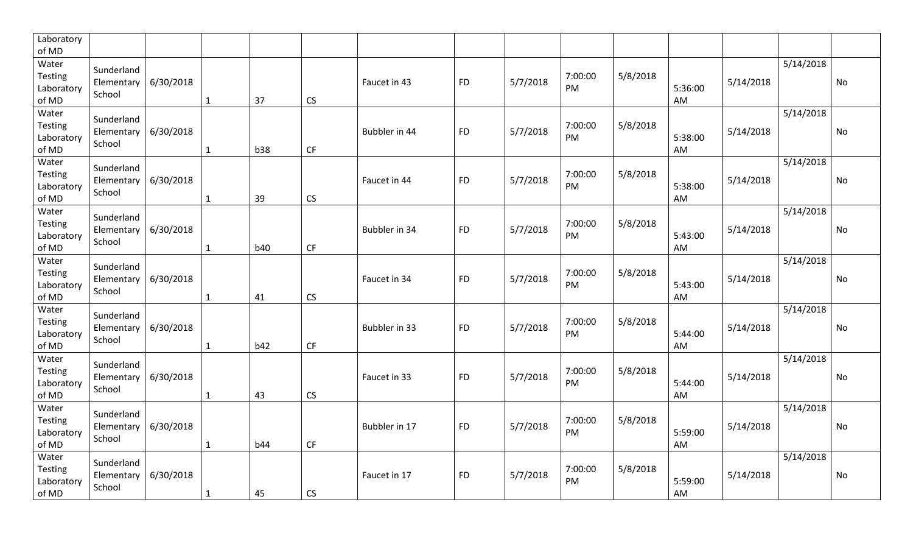| Laboratory<br>of MD                     |                                    |           |              |            |                        |               |           |          |               |          |               |           |           |           |
|-----------------------------------------|------------------------------------|-----------|--------------|------------|------------------------|---------------|-----------|----------|---------------|----------|---------------|-----------|-----------|-----------|
| Water<br>Testing<br>Laboratory<br>of MD | Sunderland<br>Elementary<br>School | 6/30/2018 | $\mathbf{1}$ | 37         | CS                     | Faucet in 43  | <b>FD</b> | 5/7/2018 | 7:00:00<br>PM | 5/8/2018 | 5:36:00<br>AM | 5/14/2018 | 5/14/2018 | No        |
| Water<br>Testing<br>Laboratory<br>of MD | Sunderland<br>Elementary<br>School | 6/30/2018 | 1            | b38        | CF                     | Bubbler in 44 | <b>FD</b> | 5/7/2018 | 7:00:00<br>PM | 5/8/2018 | 5:38:00<br>AM | 5/14/2018 | 5/14/2018 | <b>No</b> |
| Water<br>Testing<br>Laboratory<br>of MD | Sunderland<br>Elementary<br>School | 6/30/2018 | $\mathbf{1}$ | 39         | CS                     | Faucet in 44  | <b>FD</b> | 5/7/2018 | 7:00:00<br>PM | 5/8/2018 | 5:38:00<br>AM | 5/14/2018 | 5/14/2018 | <b>No</b> |
| Water<br>Testing<br>Laboratory<br>of MD | Sunderland<br>Elementary<br>School | 6/30/2018 | $\mathbf{1}$ | <b>b40</b> | $\mathsf{C}\mathsf{F}$ | Bubbler in 34 | <b>FD</b> | 5/7/2018 | 7:00:00<br>PM | 5/8/2018 | 5:43:00<br>AM | 5/14/2018 | 5/14/2018 | <b>No</b> |
| Water<br>Testing<br>Laboratory<br>of MD | Sunderland<br>Elementary<br>School | 6/30/2018 | $\mathbf{1}$ | 41         | CS                     | Faucet in 34  | <b>FD</b> | 5/7/2018 | 7:00:00<br>PM | 5/8/2018 | 5:43:00<br>AM | 5/14/2018 | 5/14/2018 | <b>No</b> |
| Water<br>Testing<br>Laboratory<br>of MD | Sunderland<br>Elementary<br>School | 6/30/2018 | $\mathbf{1}$ | b42        | CF                     | Bubbler in 33 | <b>FD</b> | 5/7/2018 | 7:00:00<br>PM | 5/8/2018 | 5:44:00<br>AM | 5/14/2018 | 5/14/2018 | No        |
| Water<br>Testing<br>Laboratory<br>of MD | Sunderland<br>Elementary<br>School | 6/30/2018 | $\mathbf{1}$ | 43         | <b>CS</b>              | Faucet in 33  | <b>FD</b> | 5/7/2018 | 7:00:00<br>PM | 5/8/2018 | 5:44:00<br>AM | 5/14/2018 | 5/14/2018 | <b>No</b> |
| Water<br>Testing<br>Laboratory<br>of MD | Sunderland<br>Elementary<br>School | 6/30/2018 | $\mathbf{1}$ | <b>b44</b> | <b>CF</b>              | Bubbler in 17 | <b>FD</b> | 5/7/2018 | 7:00:00<br>PM | 5/8/2018 | 5:59:00<br>AM | 5/14/2018 | 5/14/2018 | No        |
| Water<br>Testing<br>Laboratory<br>of MD | Sunderland<br>Elementary<br>School | 6/30/2018 | $\mathbf{1}$ | 45         | CS                     | Faucet in 17  | <b>FD</b> | 5/7/2018 | 7:00:00<br>PM | 5/8/2018 | 5:59:00<br>AM | 5/14/2018 | 5/14/2018 | <b>No</b> |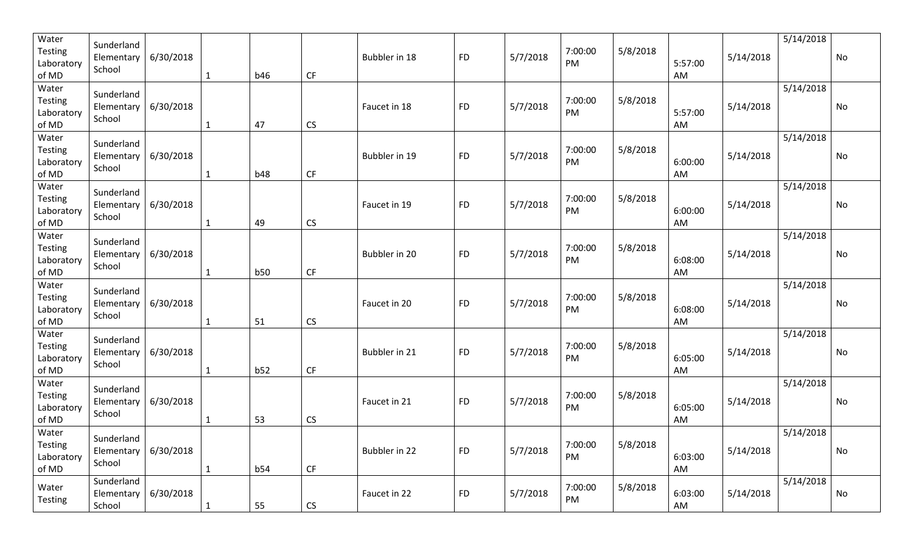| Water<br><b>Testing</b><br>Laboratory<br>of MD | Sunderland<br>Elementary<br>School | 6/30/2018 | $\mathbf{1}$ | <b>b46</b> | CF                     | Bubbler in 18 | <b>FD</b> | 5/7/2018 | 7:00:00<br>PM | 5/8/2018 | 5:57:00<br>AM | 5/14/2018 | 5/14/2018 | <b>No</b> |
|------------------------------------------------|------------------------------------|-----------|--------------|------------|------------------------|---------------|-----------|----------|---------------|----------|---------------|-----------|-----------|-----------|
| Water<br><b>Testing</b><br>Laboratory<br>of MD | Sunderland<br>Elementary<br>School | 6/30/2018 | $\mathbf{1}$ | 47         | CS                     | Faucet in 18  | <b>FD</b> | 5/7/2018 | 7:00:00<br>PM | 5/8/2018 | 5:57:00<br>AM | 5/14/2018 | 5/14/2018 | No        |
| Water<br><b>Testing</b><br>Laboratory<br>of MD | Sunderland<br>Elementary<br>School | 6/30/2018 | $\mathbf{1}$ | <b>b48</b> | $\mathsf{C}\mathsf{F}$ | Bubbler in 19 | <b>FD</b> | 5/7/2018 | 7:00:00<br>PM | 5/8/2018 | 6:00:00<br>AM | 5/14/2018 | 5/14/2018 | <b>No</b> |
| Water<br><b>Testing</b><br>Laboratory<br>of MD | Sunderland<br>Elementary<br>School | 6/30/2018 | $\mathbf{1}$ | 49         | CS                     | Faucet in 19  | <b>FD</b> | 5/7/2018 | 7:00:00<br>PM | 5/8/2018 | 6:00:00<br>AM | 5/14/2018 | 5/14/2018 | No        |
| Water<br><b>Testing</b><br>Laboratory<br>of MD | Sunderland<br>Elementary<br>School | 6/30/2018 | 1            | b50        | CF                     | Bubbler in 20 | <b>FD</b> | 5/7/2018 | 7:00:00<br>PM | 5/8/2018 | 6:08:00<br>AM | 5/14/2018 | 5/14/2018 | <b>No</b> |
| Water<br><b>Testing</b><br>Laboratory<br>of MD | Sunderland<br>Elementary<br>School | 6/30/2018 | 1            | 51         | CS                     | Faucet in 20  | <b>FD</b> | 5/7/2018 | 7:00:00<br>PM | 5/8/2018 | 6:08:00<br>AM | 5/14/2018 | 5/14/2018 | No        |
| Water<br><b>Testing</b><br>Laboratory<br>of MD | Sunderland<br>Elementary<br>School | 6/30/2018 | 1            | b52        | CF                     | Bubbler in 21 | <b>FD</b> | 5/7/2018 | 7:00:00<br>PM | 5/8/2018 | 6:05:00<br>AM | 5/14/2018 | 5/14/2018 | No        |
| Water<br><b>Testing</b><br>Laboratory<br>of MD | Sunderland<br>Elementary<br>School | 6/30/2018 | 1            | 53         | CS                     | Faucet in 21  | <b>FD</b> | 5/7/2018 | 7:00:00<br>PM | 5/8/2018 | 6:05:00<br>AM | 5/14/2018 | 5/14/2018 | No        |
| Water<br>Testing<br>Laboratory<br>of MD        | Sunderland<br>Elementary<br>School | 6/30/2018 | $\mathbf{1}$ | b54        | $\mathsf{C}\mathsf{F}$ | Bubbler in 22 | <b>FD</b> | 5/7/2018 | 7:00:00<br>PM | 5/8/2018 | 6:03:00<br>AM | 5/14/2018 | 5/14/2018 | No        |
| Water<br><b>Testing</b>                        | Sunderland<br>Elementary<br>School | 6/30/2018 | $\mathbf{1}$ | 55         | ${\sf CS}$             | Faucet in 22  | <b>FD</b> | 5/7/2018 | 7:00:00<br>PM | 5/8/2018 | 6:03:00<br>AM | 5/14/2018 | 5/14/2018 | No        |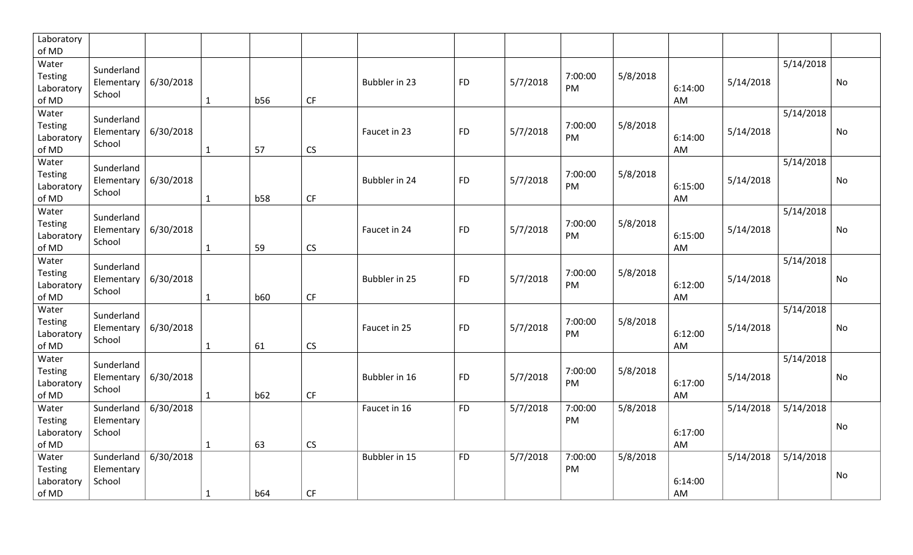| Laboratory<br>of MD                            |                                    |           |              |            |                        |               |           |          |               |          |               |           |           |    |
|------------------------------------------------|------------------------------------|-----------|--------------|------------|------------------------|---------------|-----------|----------|---------------|----------|---------------|-----------|-----------|----|
| Water<br>Testing<br>Laboratory<br>of MD        | Sunderland<br>Elementary<br>School | 6/30/2018 | 1            | <b>b56</b> | <b>CF</b>              | Bubbler in 23 | <b>FD</b> | 5/7/2018 | 7:00:00<br>PM | 5/8/2018 | 6:14:00<br>AM | 5/14/2018 | 5/14/2018 | No |
| Water<br>Testing<br>Laboratory<br>of MD        | Sunderland<br>Elementary<br>School | 6/30/2018 | $\mathbf{1}$ | 57         | CS                     | Faucet in 23  | <b>FD</b> | 5/7/2018 | 7:00:00<br>PM | 5/8/2018 | 6:14:00<br>AM | 5/14/2018 | 5/14/2018 | No |
| Water<br>Testing<br>Laboratory<br>of MD        | Sunderland<br>Elementary<br>School | 6/30/2018 | $\mathbf{1}$ | <b>b58</b> | $\mathsf{C}\mathsf{F}$ | Bubbler in 24 | <b>FD</b> | 5/7/2018 | 7:00:00<br>PM | 5/8/2018 | 6:15:00<br>AM | 5/14/2018 | 5/14/2018 | No |
| Water<br>Testing<br>Laboratory<br>of MD        | Sunderland<br>Elementary<br>School | 6/30/2018 | 1            | 59         | CS                     | Faucet in 24  | <b>FD</b> | 5/7/2018 | 7:00:00<br>PM | 5/8/2018 | 6:15:00<br>AM | 5/14/2018 | 5/14/2018 | No |
| Water<br>Testing<br>Laboratory<br>of MD        | Sunderland<br>Elementary<br>School | 6/30/2018 | 1            | <b>b60</b> | CF                     | Bubbler in 25 | <b>FD</b> | 5/7/2018 | 7:00:00<br>PM | 5/8/2018 | 6:12:00<br>AM | 5/14/2018 | 5/14/2018 | No |
| Water<br>Testing<br>Laboratory<br>of MD        | Sunderland<br>Elementary<br>School | 6/30/2018 | $\mathbf{1}$ | 61         | CS                     | Faucet in 25  | <b>FD</b> | 5/7/2018 | 7:00:00<br>PM | 5/8/2018 | 6:12:00<br>AM | 5/14/2018 | 5/14/2018 | No |
| Water<br><b>Testing</b><br>Laboratory<br>of MD | Sunderland<br>Elementary<br>School | 6/30/2018 | $\mathbf{1}$ | b62        | CF                     | Bubbler in 16 | <b>FD</b> | 5/7/2018 | 7:00:00<br>PM | 5/8/2018 | 6:17:00<br>AM | 5/14/2018 | 5/14/2018 | No |
| Water<br>Testing<br>Laboratory<br>of MD        | Sunderland<br>Elementary<br>School | 6/30/2018 | $\mathbf{1}$ | 63         | CS                     | Faucet in 16  | <b>FD</b> | 5/7/2018 | 7:00:00<br>PM | 5/8/2018 | 6:17:00<br>AM | 5/14/2018 | 5/14/2018 | No |
| Water<br>Testing<br>Laboratory<br>of MD        | Sunderland<br>Elementary<br>School | 6/30/2018 | $\mathbf{1}$ | <b>b64</b> | CF                     | Bubbler in 15 | <b>FD</b> | 5/7/2018 | 7:00:00<br>PM | 5/8/2018 | 6:14:00<br>AM | 5/14/2018 | 5/14/2018 | No |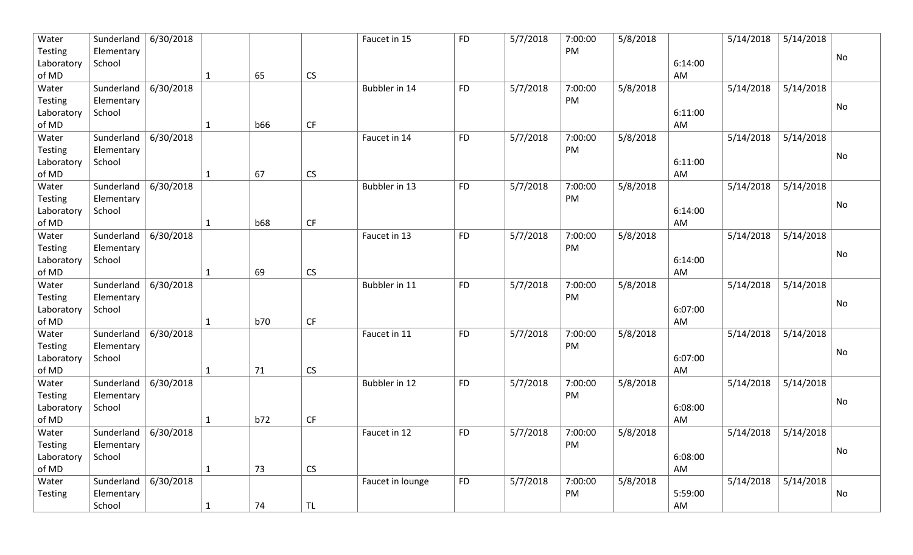| Water          | Sunderland | 6/30/2018 |              |            |                        | Faucet in 15     | <b>FD</b> | 5/7/2018 | 7:00:00 | 5/8/2018 |         | 5/14/2018 | 5/14/2018 |                              |
|----------------|------------|-----------|--------------|------------|------------------------|------------------|-----------|----------|---------|----------|---------|-----------|-----------|------------------------------|
| <b>Testing</b> | Elementary |           |              |            |                        |                  |           |          | PM      |          |         |           |           | No                           |
| Laboratory     | School     |           |              |            |                        |                  |           |          |         |          | 6:14:00 |           |           |                              |
| of MD          |            |           | $\mathbf{1}$ | 65         | ${\sf CS}$             |                  |           |          |         |          | AM      |           |           |                              |
| Water          | Sunderland | 6/30/2018 |              |            |                        | Bubbler in 14    | <b>FD</b> | 5/7/2018 | 7:00:00 | 5/8/2018 |         | 5/14/2018 | 5/14/2018 |                              |
| <b>Testing</b> | Elementary |           |              |            |                        |                  |           |          | PM      |          |         |           |           |                              |
| Laboratory     | School     |           |              |            |                        |                  |           |          |         |          | 6:11:00 |           |           | No                           |
| of MD          |            |           | $\mathbf{1}$ | <b>b66</b> | $\mathsf{C}\mathsf{F}$ |                  |           |          |         |          | AM      |           |           |                              |
| Water          | Sunderland | 6/30/2018 |              |            |                        | Faucet in 14     | <b>FD</b> | 5/7/2018 | 7:00:00 | 5/8/2018 |         | 5/14/2018 | 5/14/2018 |                              |
| <b>Testing</b> | Elementary |           |              |            |                        |                  |           |          | PM      |          |         |           |           | No                           |
| Laboratory     | School     |           |              |            |                        |                  |           |          |         |          | 6:11:00 |           |           |                              |
| of MD          |            |           | $\mathbf{1}$ | 67         | CS                     |                  |           |          |         |          | AM      |           |           |                              |
| Water          | Sunderland | 6/30/2018 |              |            |                        | Bubbler in 13    | <b>FD</b> | 5/7/2018 | 7:00:00 | 5/8/2018 |         | 5/14/2018 | 5/14/2018 |                              |
| <b>Testing</b> | Elementary |           |              |            |                        |                  |           |          | PM      |          |         |           |           | No                           |
| Laboratory     | School     |           |              |            |                        |                  |           |          |         |          | 6:14:00 |           |           |                              |
| of MD          |            |           | 1            | <b>b68</b> | $\mathsf{C}\mathsf{F}$ |                  |           |          |         |          | AM      |           |           |                              |
| Water          | Sunderland | 6/30/2018 |              |            |                        | Faucet in 13     | <b>FD</b> | 5/7/2018 | 7:00:00 | 5/8/2018 |         | 5/14/2018 | 5/14/2018 |                              |
| <b>Testing</b> | Elementary |           |              |            |                        |                  |           |          | PM      |          |         |           |           |                              |
| Laboratory     | School     |           |              |            |                        |                  |           |          |         |          | 6:14:00 |           |           | No                           |
| of MD          |            |           | $\mathbf{1}$ | 69         | CS                     |                  |           |          |         |          | AM      |           |           |                              |
| Water          | Sunderland | 6/30/2018 |              |            |                        | Bubbler in 11    | <b>FD</b> | 5/7/2018 | 7:00:00 | 5/8/2018 |         | 5/14/2018 | 5/14/2018 |                              |
| <b>Testing</b> | Elementary |           |              |            |                        |                  |           |          | PM      |          |         |           |           |                              |
| Laboratory     | School     |           |              |            |                        |                  |           |          |         |          | 6:07:00 |           |           | No                           |
| of MD          |            |           | 1            | <b>b70</b> | $\mathsf{C}\mathsf{F}$ |                  |           |          |         |          | AM      |           |           |                              |
| Water          | Sunderland | 6/30/2018 |              |            |                        | Faucet in 11     | <b>FD</b> | 5/7/2018 | 7:00:00 | 5/8/2018 |         | 5/14/2018 | 5/14/2018 |                              |
| <b>Testing</b> | Elementary |           |              |            |                        |                  |           |          | PM      |          |         |           |           |                              |
| Laboratory     | School     |           |              |            |                        |                  |           |          |         |          | 6:07:00 |           |           | No                           |
| of MD          |            |           | $\mathbf{1}$ | 71         | CS                     |                  |           |          |         |          | AM      |           |           |                              |
| Water          | Sunderland | 6/30/2018 |              |            |                        | Bubbler in 12    | <b>FD</b> | 5/7/2018 | 7:00:00 | 5/8/2018 |         | 5/14/2018 | 5/14/2018 |                              |
| <b>Testing</b> | Elementary |           |              |            |                        |                  |           |          | PM      |          |         |           |           |                              |
| Laboratory     | School     |           |              |            |                        |                  |           |          |         |          | 6:08:00 |           |           | No                           |
| of MD          |            |           | 1            | b72        | CF                     |                  |           |          |         |          | AM      |           |           |                              |
| Water          | Sunderland | 6/30/2018 |              |            |                        | Faucet in 12     | <b>FD</b> | 5/7/2018 | 7:00:00 | 5/8/2018 |         | 5/14/2018 | 5/14/2018 |                              |
| Testing        | Elementary |           |              |            |                        |                  |           |          | PM      |          |         |           |           |                              |
| Laboratory     | School     |           |              |            |                        |                  |           |          |         |          | 6:08:00 |           |           | No                           |
| of MD          |            |           | $\mathbf{1}$ | 73         | $\mathsf{CS}\xspace$   |                  |           |          |         |          | AM      |           |           |                              |
| Water          | Sunderland | 6/30/2018 |              |            |                        | Faucet in lounge | <b>FD</b> | 5/7/2018 | 7:00:00 | 5/8/2018 |         | 5/14/2018 | 5/14/2018 |                              |
| Testing        | Elementary |           |              |            |                        |                  |           |          | PM      |          | 5:59:00 |           |           | $\operatorname{\mathsf{No}}$ |
|                | School     |           | $\mathbf{1}$ | 74         | TL                     |                  |           |          |         |          | AM      |           |           |                              |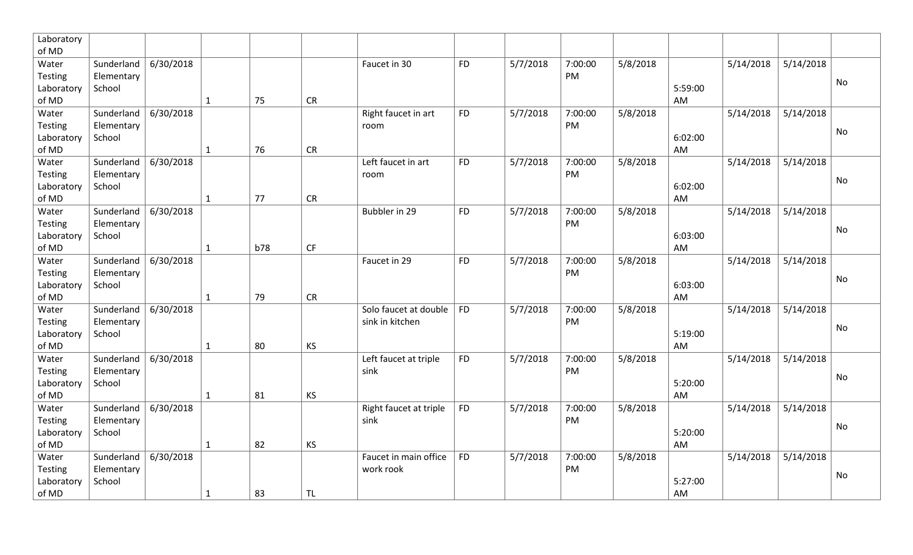| Laboratory     |            |           |              |            |           |                        |           |          |         |          |         |           |           |    |
|----------------|------------|-----------|--------------|------------|-----------|------------------------|-----------|----------|---------|----------|---------|-----------|-----------|----|
| of MD          |            |           |              |            |           |                        |           |          |         |          |         |           |           |    |
| Water          | Sunderland | 6/30/2018 |              |            |           | Faucet in 30           | <b>FD</b> | 5/7/2018 | 7:00:00 | 5/8/2018 |         | 5/14/2018 | 5/14/2018 |    |
| Testing        | Elementary |           |              |            |           |                        |           |          | PM      |          |         |           |           | No |
| Laboratory     | School     |           |              |            |           |                        |           |          |         |          | 5:59:00 |           |           |    |
| of MD          |            |           | $\mathbf{1}$ | 75         | CR        |                        |           |          |         |          | AM      |           |           |    |
| Water          | Sunderland | 6/30/2018 |              |            |           | Right faucet in art    | <b>FD</b> | 5/7/2018 | 7:00:00 | 5/8/2018 |         | 5/14/2018 | 5/14/2018 |    |
| Testing        | Elementary |           |              |            |           | room                   |           |          | PM      |          |         |           |           | No |
| Laboratory     | School     |           |              |            |           |                        |           |          |         |          | 6:02:00 |           |           |    |
| of MD          |            |           | $\mathbf{1}$ | 76         | CR        |                        |           |          |         |          | AM      |           |           |    |
| Water          | Sunderland | 6/30/2018 |              |            |           | Left faucet in art     | <b>FD</b> | 5/7/2018 | 7:00:00 | 5/8/2018 |         | 5/14/2018 | 5/14/2018 |    |
| Testing        | Elementary |           |              |            |           | room                   |           |          | PM      |          |         |           |           | No |
| Laboratory     | School     |           |              |            |           |                        |           |          |         |          | 6:02:00 |           |           |    |
| of MD          |            |           | $\mathbf{1}$ | 77         | CR        |                        |           |          |         |          | AM      |           |           |    |
| Water          | Sunderland | 6/30/2018 |              |            |           | Bubbler in 29          | <b>FD</b> | 5/7/2018 | 7:00:00 | 5/8/2018 |         | 5/14/2018 | 5/14/2018 |    |
| <b>Testing</b> | Elementary |           |              |            |           |                        |           |          | PM      |          |         |           |           | No |
| Laboratory     | School     |           |              |            |           |                        |           |          |         |          | 6:03:00 |           |           |    |
| of MD          |            |           | $\mathbf{1}$ | <b>b78</b> | CF        |                        |           |          |         |          | AM      |           |           |    |
| Water          | Sunderland | 6/30/2018 |              |            |           | Faucet in 29           | <b>FD</b> | 5/7/2018 | 7:00:00 | 5/8/2018 |         | 5/14/2018 | 5/14/2018 |    |
| Testing        | Elementary |           |              |            |           |                        |           |          | PM      |          |         |           |           | No |
| Laboratory     | School     |           |              |            |           |                        |           |          |         |          | 6:03:00 |           |           |    |
| of MD          |            |           | $\mathbf{1}$ | 79         | CR        |                        |           |          |         |          | AM      |           |           |    |
| Water          | Sunderland | 6/30/2018 |              |            |           | Solo faucet at double  | <b>FD</b> | 5/7/2018 | 7:00:00 | 5/8/2018 |         | 5/14/2018 | 5/14/2018 |    |
| <b>Testing</b> | Elementary |           |              |            |           | sink in kitchen        |           |          | PM      |          |         |           |           | No |
| Laboratory     | School     |           |              |            |           |                        |           |          |         |          | 5:19:00 |           |           |    |
| of MD          |            |           | $\mathbf{1}$ | 80         | KS        |                        |           |          |         |          | AM      |           |           |    |
| Water          | Sunderland | 6/30/2018 |              |            |           | Left faucet at triple  | <b>FD</b> | 5/7/2018 | 7:00:00 | 5/8/2018 |         | 5/14/2018 | 5/14/2018 |    |
| Testing        | Elementary |           |              |            |           | sink                   |           |          | PM      |          |         |           |           | No |
| Laboratory     | School     |           |              |            |           |                        |           |          |         |          | 5:20:00 |           |           |    |
| of MD          |            |           | $\mathbf{1}$ | 81         | <b>KS</b> |                        |           |          |         |          | AM      |           |           |    |
| Water          | Sunderland | 6/30/2018 |              |            |           | Right faucet at triple | <b>FD</b> | 5/7/2018 | 7:00:00 | 5/8/2018 |         | 5/14/2018 | 5/14/2018 |    |
| <b>Testing</b> | Elementary |           |              |            |           | sink                   |           |          | PM      |          |         |           |           | No |
| Laboratory     | School     |           |              |            |           |                        |           |          |         |          | 5:20:00 |           |           |    |
| of MD          |            |           | $\mathbf{1}$ | 82         | <b>KS</b> |                        |           |          |         |          | AM      |           |           |    |
| Water          | Sunderland | 6/30/2018 |              |            |           | Faucet in main office  | <b>FD</b> | 5/7/2018 | 7:00:00 | 5/8/2018 |         | 5/14/2018 | 5/14/2018 |    |
| Testing        | Elementary |           |              |            |           | work rook              |           |          | PM      |          |         |           |           | No |
| Laboratory     | School     |           |              |            |           |                        |           |          |         |          | 5:27:00 |           |           |    |
| of MD          |            |           | $\mathbf{1}$ | 83         | <b>TL</b> |                        |           |          |         |          | AM      |           |           |    |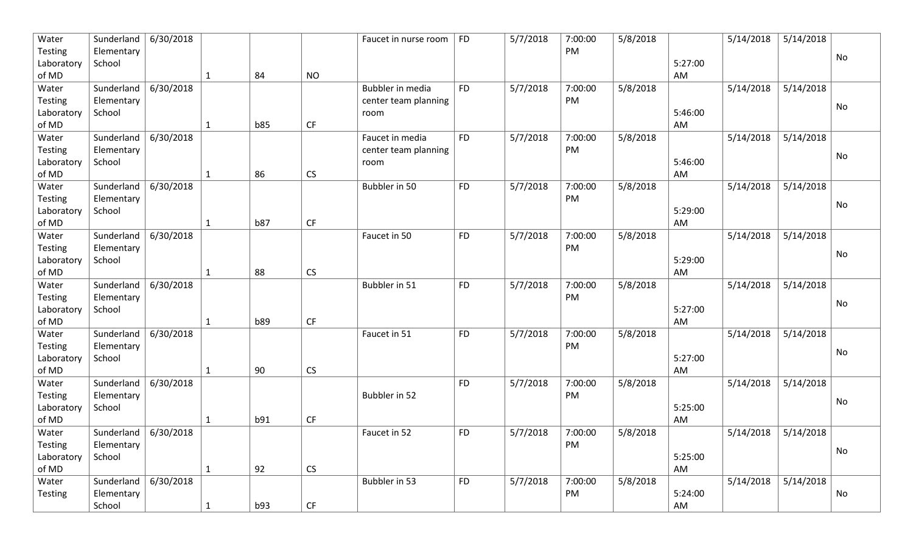| Water          | Sunderland | 6/30/2018 |              |            |                        | Faucet in nurse room | <b>FD</b> | 5/7/2018 | 7:00:00 | 5/8/2018 |         | 5/14/2018 | 5/14/2018 |                              |
|----------------|------------|-----------|--------------|------------|------------------------|----------------------|-----------|----------|---------|----------|---------|-----------|-----------|------------------------------|
| <b>Testing</b> | Elementary |           |              |            |                        |                      |           |          | PM      |          |         |           |           | No                           |
| Laboratory     | School     |           |              |            |                        |                      |           |          |         |          | 5:27:00 |           |           |                              |
| of MD          |            |           | $\mathbf{1}$ | 84         | <b>NO</b>              |                      |           |          |         |          | AM      |           |           |                              |
| Water          | Sunderland | 6/30/2018 |              |            |                        | Bubbler in media     | <b>FD</b> | 5/7/2018 | 7:00:00 | 5/8/2018 |         | 5/14/2018 | 5/14/2018 |                              |
| <b>Testing</b> | Elementary |           |              |            |                        | center team planning |           |          | PM      |          |         |           |           | No                           |
| Laboratory     | School     |           |              |            |                        | room                 |           |          |         |          | 5:46:00 |           |           |                              |
| of MD          |            |           | $\mathbf{1}$ | <b>b85</b> | CF                     |                      |           |          |         |          | AM      |           |           |                              |
| Water          | Sunderland | 6/30/2018 |              |            |                        | Faucet in media      | <b>FD</b> | 5/7/2018 | 7:00:00 | 5/8/2018 |         | 5/14/2018 | 5/14/2018 |                              |
| <b>Testing</b> | Elementary |           |              |            |                        | center team planning |           |          | PM      |          |         |           |           | No                           |
| Laboratory     | School     |           |              |            |                        | room                 |           |          |         |          | 5:46:00 |           |           |                              |
| of MD          |            |           | $\mathbf{1}$ | 86         | CS                     |                      |           |          |         |          | AM      |           |           |                              |
| Water          | Sunderland | 6/30/2018 |              |            |                        | Bubbler in 50        | <b>FD</b> | 5/7/2018 | 7:00:00 | 5/8/2018 |         | 5/14/2018 | 5/14/2018 |                              |
| <b>Testing</b> | Elementary |           |              |            |                        |                      |           |          | PM      |          |         |           |           | No                           |
| Laboratory     | School     |           |              |            |                        |                      |           |          |         |          | 5:29:00 |           |           |                              |
| of MD          |            |           | 1            | <b>b87</b> | $\mathsf{C}\mathsf{F}$ |                      |           |          |         |          | AM      |           |           |                              |
| Water          | Sunderland | 6/30/2018 |              |            |                        | Faucet in 50         | <b>FD</b> | 5/7/2018 | 7:00:00 | 5/8/2018 |         | 5/14/2018 | 5/14/2018 |                              |
| <b>Testing</b> | Elementary |           |              |            |                        |                      |           |          | PM      |          |         |           |           | No                           |
| Laboratory     | School     |           |              |            |                        |                      |           |          |         |          | 5:29:00 |           |           |                              |
| of MD          |            |           | $\mathbf{1}$ | 88         | CS                     |                      |           |          |         |          | AM      |           |           |                              |
| Water          | Sunderland | 6/30/2018 |              |            |                        | Bubbler in 51        | <b>FD</b> | 5/7/2018 | 7:00:00 | 5/8/2018 |         | 5/14/2018 | 5/14/2018 |                              |
| <b>Testing</b> | Elementary |           |              |            |                        |                      |           |          | PM      |          |         |           |           | No                           |
| Laboratory     | School     |           |              |            |                        |                      |           |          |         |          | 5:27:00 |           |           |                              |
| of MD          |            |           | 1            | b89        | CF                     |                      |           |          |         |          | AM      |           |           |                              |
| Water          | Sunderland | 6/30/2018 |              |            |                        | Faucet in 51         | <b>FD</b> | 5/7/2018 | 7:00:00 | 5/8/2018 |         | 5/14/2018 | 5/14/2018 |                              |
| <b>Testing</b> | Elementary |           |              |            |                        |                      |           |          | PM      |          |         |           |           | No                           |
| Laboratory     | School     |           |              |            |                        |                      |           |          |         |          | 5:27:00 |           |           |                              |
| of MD          |            |           | $\mathbf{1}$ | 90         | CS                     |                      |           |          |         |          | AM      |           |           |                              |
| Water          | Sunderland | 6/30/2018 |              |            |                        |                      | <b>FD</b> | 5/7/2018 | 7:00:00 | 5/8/2018 |         | 5/14/2018 | 5/14/2018 |                              |
| <b>Testing</b> | Elementary |           |              |            |                        | Bubbler in 52        |           |          | PM      |          |         |           |           | No                           |
| Laboratory     | School     |           |              |            |                        |                      |           |          |         |          | 5:25:00 |           |           |                              |
| of MD          |            |           | 1            | b91        | CF                     |                      |           |          |         |          | AM      |           |           |                              |
| Water          | Sunderland | 6/30/2018 |              |            |                        | Faucet in 52         | <b>FD</b> | 5/7/2018 | 7:00:00 | 5/8/2018 |         | 5/14/2018 | 5/14/2018 |                              |
| Testing        | Elementary |           |              |            |                        |                      |           |          | PM      |          |         |           |           | No                           |
| Laboratory     | School     |           |              |            |                        |                      |           |          |         |          | 5:25:00 |           |           |                              |
| of MD          |            |           | $\mathbf{1}$ | 92         | $\mathsf{CS}\xspace$   |                      |           |          |         |          | AM      |           |           |                              |
| Water          | Sunderland | 6/30/2018 |              |            |                        | Bubbler in 53        | <b>FD</b> | 5/7/2018 | 7:00:00 | 5/8/2018 |         | 5/14/2018 | 5/14/2018 |                              |
| Testing        | Elementary |           |              |            |                        |                      |           |          | PM      |          | 5:24:00 |           |           | $\operatorname{\mathsf{No}}$ |
|                | School     |           | $\mathbf{1}$ | b93        | $\mathsf{C}\mathsf{F}$ |                      |           |          |         |          | AM      |           |           |                              |